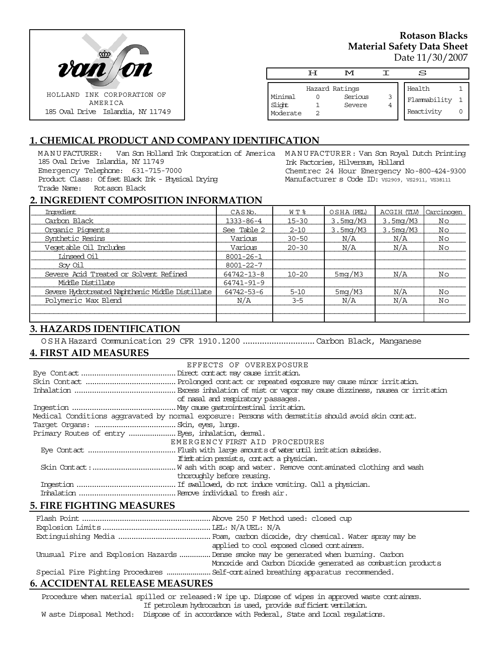

### **Rotason Blacks Material Safety Data Sheet** Date 11/30/2007

|                               | ਸ | M                 |        | S                          |  |
|-------------------------------|---|-------------------|--------|----------------------------|--|
|                               |   | Hazard Ratings    |        | Health                     |  |
| Minimal<br>Slight<br>Moderate |   | Serious<br>Severe | 3<br>4 | Flammability<br>Reactivity |  |

# **1. CHEMICAL PRODUCT AND COMPANY IDENTIFICATION**

MANUFACTURER: Van Son Holland Ink Corporation of America MANUFACTURER: Van Son Royal Dutch Printing 185 Oval Drive Islandia, NY 11749 Emergency Telephone: 631-715-7000 Product Class: Offset Black Ink - Physical Drying Trade Name: Rotason Black

Ink Factories, Hilversum, Holland Chemtrec 24 Hour Emergency No-800-424-9300 Manufacturer s Code ID: VS2909, VS2911, VS38111

#### **2. INGREDIENT COMPOSITION INFORMATION**

| Ingredient                                       | CASN <sub>o</sub> . | W T %     | OSHA (PEL) | ACGIH (TLV) | Carcinogen |
|--------------------------------------------------|---------------------|-----------|------------|-------------|------------|
| Carbon Black                                     | $1333 - 86 - 4$     | $15 - 30$ | 3.5mg/M3   | 3.5mg/M3    | No         |
| Organic Pigments                                 | See Table 2         | $2 - 10$  | 3.5mg/M3   | 3.5mg/M3    | No         |
| Synthetic Resins                                 | Various             | $30 - 50$ | N/A        | N/A         | No         |
| Veqetable Oil Includes                           | Various             | $20 - 30$ | N/A        | N/A         | No         |
| Linseed Oil                                      | $8001 - 26 - 1$     |           |            |             |            |
| Sov Oil                                          | $8001 - 22 - 7$     |           |            |             |            |
| Severe Acid Treated or Solvent Refined           | 64742-13-8          | $10 - 20$ | 5mg/M3     | N/A         | No         |
| Middle Distillate                                | 64741-91-9          |           |            |             |            |
| Severe Hydrotreated Naphthenic Middle Distillate | 64742-53-6          | $5 - 10$  | 5mg/M3     | N/A         | No         |
| Polymeric Wax Blend                              | N/A                 | $3 - 5$   | N/A        | N/A         | No         |
|                                                  |                     |           |            |             |            |
|                                                  |                     |           |            |             |            |

## **3. HAZARDS IDENTIFICATION**

OSHA Hazard Communication 29 CFR 1910.1200..............................Carbon Black, Manganese

### **4. FIRST AID MEASURES**

| EFFECTS OF OVEREXPOSURE                                                                            |
|----------------------------------------------------------------------------------------------------|
|                                                                                                    |
|                                                                                                    |
|                                                                                                    |
| of nasal and respiratory passages.                                                                 |
|                                                                                                    |
| Medical Conditions aggravated by normal exposure: Persons with dematitis should avoid skin contat. |
|                                                                                                    |
|                                                                                                    |
| EMERGENCY FIRST AID PROCEDURES                                                                     |
|                                                                                                    |
| If initiation persists, contact a physician.                                                       |
|                                                                                                    |
| thoroughly before reusing.                                                                         |
|                                                                                                    |
|                                                                                                    |
|                                                                                                    |

### **5. FIRE FIGHTING MEASURES**

| applied to cool exposed closed containers.                                            |
|---------------------------------------------------------------------------------------|
| Unusual Fire and Explosion Hazards  Dense smoke may be generated when burning. Carbon |
| Monoxide and Carbon Dioxide generated as combustion products                          |
| Special Fire Fighting Procedures  Self-contained breathing apparatus recommended.     |
|                                                                                       |

## **6. ACCIDENTAL RELEASE MEASURES**

Procedure when material spilled or released: W ipe up. Dispose of wipes in approved waste containers. If petroleum hydrocarbon is used, provide sufficient ventilation.

W aste Disposal Method: Dispose of in accordance with Federal, State and Local regulations.